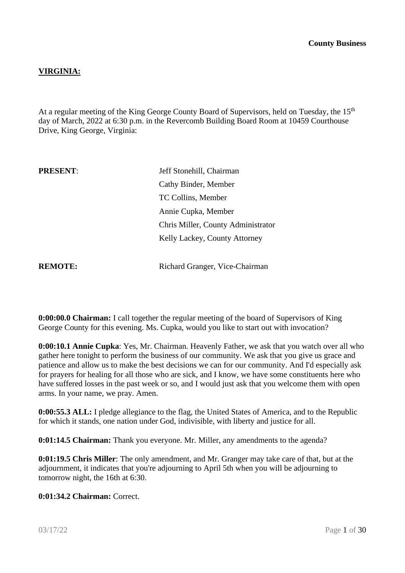# **VIRGINIA:**

At a regular meeting of the King George County Board of Supervisors, held on Tuesday, the 15<sup>th</sup> day of March, 2022 at 6:30 p.m. in the Revercomb Building Board Room at 10459 Courthouse Drive, King George, Virginia:

| <b>PRESENT:</b> | Jeff Stonehill, Chairman           |  |  |
|-----------------|------------------------------------|--|--|
|                 | Cathy Binder, Member               |  |  |
|                 | TC Collins, Member                 |  |  |
|                 | Annie Cupka, Member                |  |  |
|                 | Chris Miller, County Administrator |  |  |
|                 | Kelly Lackey, County Attorney      |  |  |
|                 |                                    |  |  |
| <b>REMOTE:</b>  | Richard Granger, Vice-Chairman     |  |  |

**0:00:00.0 Chairman:** I call together the regular meeting of the board of Supervisors of King George County for this evening. Ms. Cupka, would you like to start out with invocation?

**0:00:10.1 Annie Cupka**: Yes, Mr. Chairman. Heavenly Father, we ask that you watch over all who gather here tonight to perform the business of our community. We ask that you give us grace and patience and allow us to make the best decisions we can for our community. And I'd especially ask for prayers for healing for all those who are sick, and I know, we have some constituents here who have suffered losses in the past week or so, and I would just ask that you welcome them with open arms. In your name, we pray. Amen.

**0:00:55.3 ALL:** I pledge allegiance to the flag, the United States of America, and to the Republic for which it stands, one nation under God, indivisible, with liberty and justice for all.

**0:01:14.5 Chairman:** Thank you everyone. Mr. Miller, any amendments to the agenda?

**0:01:19.5 Chris Miller**: The only amendment, and Mr. Granger may take care of that, but at the adjournment, it indicates that you're adjourning to April 5th when you will be adjourning to tomorrow night, the 16th at 6:30.

### **0:01:34.2 Chairman:** Correct.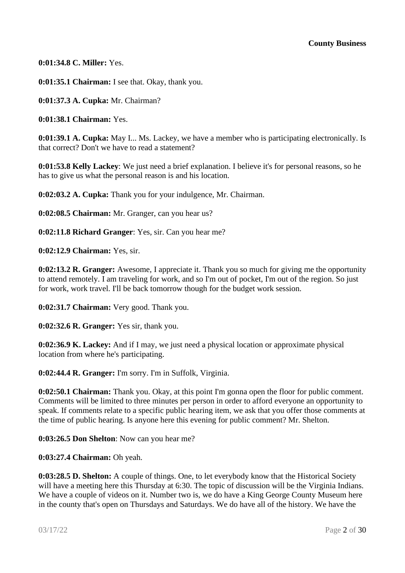**0:01:34.8 C. Miller:** Yes.

**0:01:35.1 Chairman:** I see that. Okay, thank you.

**0:01:37.3 A. Cupka:** Mr. Chairman?

**0:01:38.1 Chairman:** Yes.

**0:01:39.1 A. Cupka:** May I... Ms. Lackey, we have a member who is participating electronically. Is that correct? Don't we have to read a statement?

**0:01:53.8 Kelly Lackey**: We just need a brief explanation. I believe it's for personal reasons, so he has to give us what the personal reason is and his location.

**0:02:03.2 A. Cupka:** Thank you for your indulgence, Mr. Chairman.

**0:02:08.5 Chairman:** Mr. Granger, can you hear us?

**0:02:11.8 Richard Granger**: Yes, sir. Can you hear me?

**0:02:12.9 Chairman:** Yes, sir.

**0:02:13.2 R. Granger:** Awesome, I appreciate it. Thank you so much for giving me the opportunity to attend remotely. I am traveling for work, and so I'm out of pocket, I'm out of the region. So just for work, work travel. I'll be back tomorrow though for the budget work session.

**0:02:31.7 Chairman:** Very good. Thank you.

**0:02:32.6 R. Granger:** Yes sir, thank you.

**0:02:36.9 K. Lackey:** And if I may, we just need a physical location or approximate physical location from where he's participating.

**0:02:44.4 R. Granger:** I'm sorry. I'm in Suffolk, Virginia.

**0:02:50.1 Chairman:** Thank you. Okay, at this point I'm gonna open the floor for public comment. Comments will be limited to three minutes per person in order to afford everyone an opportunity to speak. If comments relate to a specific public hearing item, we ask that you offer those comments at the time of public hearing. Is anyone here this evening for public comment? Mr. Shelton.

**0:03:26.5 Don Shelton**: Now can you hear me?

**0:03:27.4 Chairman:** Oh yeah.

**0:03:28.5 D. Shelton:** A couple of things. One, to let everybody know that the Historical Society will have a meeting here this Thursday at 6:30. The topic of discussion will be the Virginia Indians. We have a couple of videos on it. Number two is, we do have a King George County Museum here in the county that's open on Thursdays and Saturdays. We do have all of the history. We have the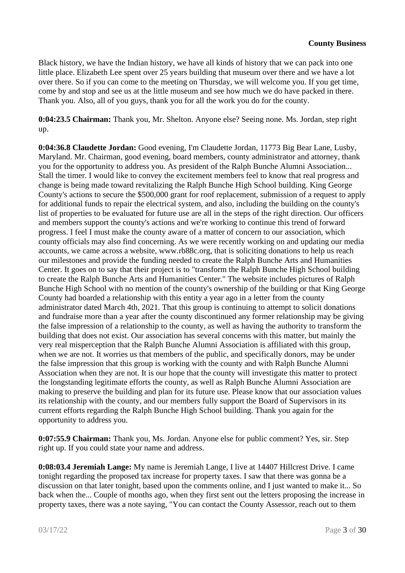Black history, we have the Indian history, we have all kinds of history that we can pack into one little place. Elizabeth Lee spent over 25 years building that museum over there and we have a lot over there. So if you can come to the meeting on Thursday, we will welcome you. If you get time, come by and stop and see us at the little museum and see how much we do have packed in there. Thank you. Also, all of you guys, thank you for all the work you do for the county.

**0:04:23.5 Chairman:** Thank you, Mr. Shelton. Anyone else? Seeing none. Ms. Jordan, step right up.

**0:04:36.8 Claudette Jordan:** Good evening, I'm Claudette Jordan, 11773 Big Bear Lane, Lusby, Maryland. Mr. Chairman, good evening, board members, county administrator and attorney, thank you for the opportunity to address you. As president of the Ralph Bunche Alumni Association... Stall the timer. I would like to convey the excitement members feel to know that real progress and change is being made toward revitalizing the Ralph Bunche High School building. King George County's actions to secure the \$500,000 grant for roof replacement, submission of a request to apply for additional funds to repair the electrical system, and also, including the building on the county's list of properties to be evaluated for future use are all in the steps of the right direction. Our officers and members support the county's actions and we're working to continue this trend of forward progress. I feel I must make the county aware of a matter of concern to our association, which county officials may also find concerning. As we were recently working on and updating our media accounts, we came across a website, www.rb88c.org, that is soliciting donations to help us reach our milestones and provide the funding needed to create the Ralph Bunche Arts and Humanities Center. It goes on to say that their project is to "transform the Ralph Bunche High School building to create the Ralph Bunche Arts and Humanities Center." The website includes pictures of Ralph Bunche High School with no mention of the county's ownership of the building or that King George County had boarded a relationship with this entity a year ago in a letter from the county administrator dated March 4th, 2021. That this group is continuing to attempt to solicit donations and fundraise more than a year after the county discontinued any former relationship may be giving the false impression of a relationship to the county, as well as having the authority to transform the building that does not exist. Our association has several concerns with this matter, but mainly the very real misperception that the Ralph Bunche Alumni Association is affiliated with this group, when we are not. It worries us that members of the public, and specifically donors, may be under the false impression that this group is working with the county and with Ralph Bunche Alumni Association when they are not. It is our hope that the county will investigate this matter to protect the longstanding legitimate efforts the county, as well as Ralph Bunche Alumni Association are making to preserve the building and plan for its future use. Please know that our association values its relationship with the county, and our members fully support the Board of Supervisors in its current efforts regarding the Ralph Bunche High School building. Thank you again for the opportunity to address you.

**0:07:55.9 Chairman:** Thank you, Ms. Jordan. Anyone else for public comment? Yes, sir. Step right up. If you could state your name and address.

**0:08:03.4 Jeremiah Lange:** My name is Jeremiah Lange, I live at 14407 Hillcrest Drive. I came tonight regarding the proposed tax increase for property taxes. I saw that there was gonna be a discussion on that later tonight, based upon the comments online, and I just wanted to make it... So back when the... Couple of months ago, when they first sent out the letters proposing the increase in property taxes, there was a note saying, "You can contact the County Assessor, reach out to them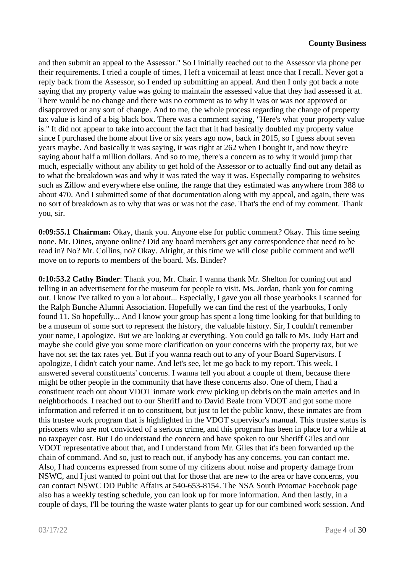and then submit an appeal to the Assessor." So I initially reached out to the Assessor via phone per their requirements. I tried a couple of times, I left a voicemail at least once that I recall. Never got a reply back from the Assessor, so I ended up submitting an appeal. And then I only got back a note saying that my property value was going to maintain the assessed value that they had assessed it at. There would be no change and there was no comment as to why it was or was not approved or disapproved or any sort of change. And to me, the whole process regarding the change of property tax value is kind of a big black box. There was a comment saying, "Here's what your property value is." It did not appear to take into account the fact that it had basically doubled my property value since I purchased the home about five or six years ago now, back in 2015, so I guess about seven years maybe. And basically it was saying, it was right at 262 when I bought it, and now they're saying about half a million dollars. And so to me, there's a concern as to why it would jump that much, especially without any ability to get hold of the Assessor or to actually find out any detail as to what the breakdown was and why it was rated the way it was. Especially comparing to websites such as Zillow and everywhere else online, the range that they estimated was anywhere from 388 to about 470. And I submitted some of that documentation along with my appeal, and again, there was no sort of breakdown as to why that was or was not the case. That's the end of my comment. Thank you, sir.

**0:09:55.1 Chairman:** Okay, thank you. Anyone else for public comment? Okay. This time seeing none. Mr. Dines, anyone online? Did any board members get any correspondence that need to be read in? No? Mr. Collins, no? Okay. Alright, at this time we will close public comment and we'll move on to reports to members of the board. Ms. Binder?

**0:10:53.2 Cathy Binder**: Thank you, Mr. Chair. I wanna thank Mr. Shelton for coming out and telling in an advertisement for the museum for people to visit. Ms. Jordan, thank you for coming out. I know I've talked to you a lot about... Especially, I gave you all those yearbooks I scanned for the Ralph Bunche Alumni Association. Hopefully we can find the rest of the yearbooks, I only found 11. So hopefully... And I know your group has spent a long time looking for that building to be a museum of some sort to represent the history, the valuable history. Sir, I couldn't remember your name, I apologize. But we are looking at everything. You could go talk to Ms. Judy Hart and maybe she could give you some more clarification on your concerns with the property tax, but we have not set the tax rates yet. But if you wanna reach out to any of your Board Supervisors. I apologize, I didn't catch your name. And let's see, let me go back to my report. This week, I answered several constituents' concerns. I wanna tell you about a couple of them, because there might be other people in the community that have these concerns also. One of them, I had a constituent reach out about VDOT inmate work crew picking up debris on the main arteries and in neighborhoods. I reached out to our Sheriff and to David Beale from VDOT and got some more information and referred it on to constituent, but just to let the public know, these inmates are from this trustee work program that is highlighted in the VDOT supervisor's manual. This trustee status is prisoners who are not convicted of a serious crime, and this program has been in place for a while at no taxpayer cost. But I do understand the concern and have spoken to our Sheriff Giles and our VDOT representative about that, and I understand from Mr. Giles that it's been forwarded up the chain of command. And so, just to reach out, if anybody has any concerns, you can contact me. Also, I had concerns expressed from some of my citizens about noise and property damage from NSWC, and I just wanted to point out that for those that are new to the area or have concerns, you can contact NSWC DD Public Affairs at 540-653-8154. The NSA South Potomac Facebook page also has a weekly testing schedule, you can look up for more information. And then lastly, in a couple of days, I'll be touring the waste water plants to gear up for our combined work session. And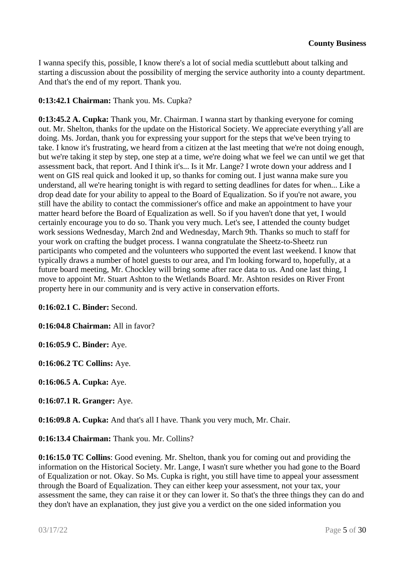I wanna specify this, possible, I know there's a lot of social media scuttlebutt about talking and starting a discussion about the possibility of merging the service authority into a county department. And that's the end of my report. Thank you.

# **0:13:42.1 Chairman:** Thank you. Ms. Cupka?

**0:13:45.2 A. Cupka:** Thank you, Mr. Chairman. I wanna start by thanking everyone for coming out. Mr. Shelton, thanks for the update on the Historical Society. We appreciate everything y'all are doing. Ms. Jordan, thank you for expressing your support for the steps that we've been trying to take. I know it's frustrating, we heard from a citizen at the last meeting that we're not doing enough, but we're taking it step by step, one step at a time, we're doing what we feel we can until we get that assessment back, that report. And I think it's... Is it Mr. Lange? I wrote down your address and I went on GIS real quick and looked it up, so thanks for coming out. I just wanna make sure you understand, all we're hearing tonight is with regard to setting deadlines for dates for when... Like a drop dead date for your ability to appeal to the Board of Equalization. So if you're not aware, you still have the ability to contact the commissioner's office and make an appointment to have your matter heard before the Board of Equalization as well. So if you haven't done that yet, I would certainly encourage you to do so. Thank you very much. Let's see, I attended the county budget work sessions Wednesday, March 2nd and Wednesday, March 9th. Thanks so much to staff for your work on crafting the budget process. I wanna congratulate the Sheetz-to-Sheetz run participants who competed and the volunteers who supported the event last weekend. I know that typically draws a number of hotel guests to our area, and I'm looking forward to, hopefully, at a future board meeting, Mr. Chockley will bring some after race data to us. And one last thing, I move to appoint Mr. Stuart Ashton to the Wetlands Board. Mr. Ashton resides on River Front property here in our community and is very active in conservation efforts.

**0:16:02.1 C. Binder:** Second.

**0:16:04.8 Chairman:** All in favor?

**0:16:05.9 C. Binder:** Aye.

**0:16:06.2 TC Collins:** Aye.

**0:16:06.5 A. Cupka:** Aye.

**0:16:07.1 R. Granger:** Aye.

**0:16:09.8 A. Cupka:** And that's all I have. Thank you very much, Mr. Chair.

**0:16:13.4 Chairman:** Thank you. Mr. Collins?

**0:16:15.0 TC Collins**: Good evening. Mr. Shelton, thank you for coming out and providing the information on the Historical Society. Mr. Lange, I wasn't sure whether you had gone to the Board of Equalization or not. Okay. So Ms. Cupka is right, you still have time to appeal your assessment through the Board of Equalization. They can either keep your assessment, not your tax, your assessment the same, they can raise it or they can lower it. So that's the three things they can do and they don't have an explanation, they just give you a verdict on the one sided information you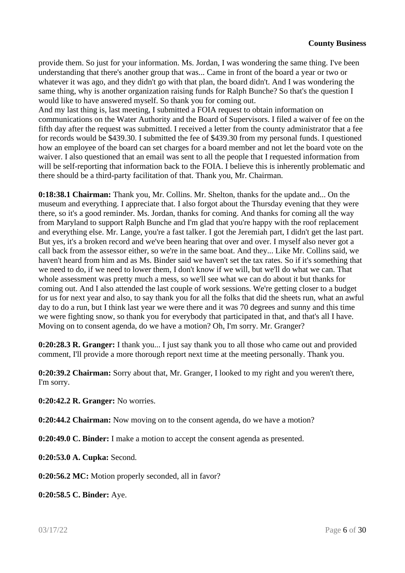provide them. So just for your information. Ms. Jordan, I was wondering the same thing. I've been understanding that there's another group that was... Came in front of the board a year or two or whatever it was ago, and they didn't go with that plan, the board didn't. And I was wondering the same thing, why is another organization raising funds for Ralph Bunche? So that's the question I would like to have answered myself. So thank you for coming out.

And my last thing is, last meeting, I submitted a FOIA request to obtain information on communications on the Water Authority and the Board of Supervisors. I filed a waiver of fee on the fifth day after the request was submitted. I received a letter from the county administrator that a fee for records would be \$439.30. I submitted the fee of \$439.30 from my personal funds. I questioned how an employee of the board can set charges for a board member and not let the board vote on the waiver. I also questioned that an email was sent to all the people that I requested information from will be self-reporting that information back to the FOIA. I believe this is inherently problematic and there should be a third-party facilitation of that. Thank you, Mr. Chairman.

**0:18:38.1 Chairman:** Thank you, Mr. Collins. Mr. Shelton, thanks for the update and... On the museum and everything. I appreciate that. I also forgot about the Thursday evening that they were there, so it's a good reminder. Ms. Jordan, thanks for coming. And thanks for coming all the way from Maryland to support Ralph Bunche and I'm glad that you're happy with the roof replacement and everything else. Mr. Lange, you're a fast talker. I got the Jeremiah part, I didn't get the last part. But yes, it's a broken record and we've been hearing that over and over. I myself also never got a call back from the assessor either, so we're in the same boat. And they... Like Mr. Collins said, we haven't heard from him and as Ms. Binder said we haven't set the tax rates. So if it's something that we need to do, if we need to lower them, I don't know if we will, but we'll do what we can. That whole assessment was pretty much a mess, so we'll see what we can do about it but thanks for coming out. And I also attended the last couple of work sessions. We're getting closer to a budget for us for next year and also, to say thank you for all the folks that did the sheets run, what an awful day to do a run, but I think last year we were there and it was 70 degrees and sunny and this time we were fighting snow, so thank you for everybody that participated in that, and that's all I have. Moving on to consent agenda, do we have a motion? Oh, I'm sorry. Mr. Granger?

**0:20:28.3 R. Granger:** I thank you... I just say thank you to all those who came out and provided comment, I'll provide a more thorough report next time at the meeting personally. Thank you.

**0:20:39.2 Chairman:** Sorry about that, Mr. Granger, I looked to my right and you weren't there, I'm sorry.

**0:20:42.2 R. Granger:** No worries.

**0:20:44.2 Chairman:** Now moving on to the consent agenda, do we have a motion?

**0:20:49.0 C. Binder:** I make a motion to accept the consent agenda as presented.

**0:20:53.0 A. Cupka:** Second.

**0:20:56.2 MC:** Motion properly seconded, all in favor?

**0:20:58.5 C. Binder:** Aye.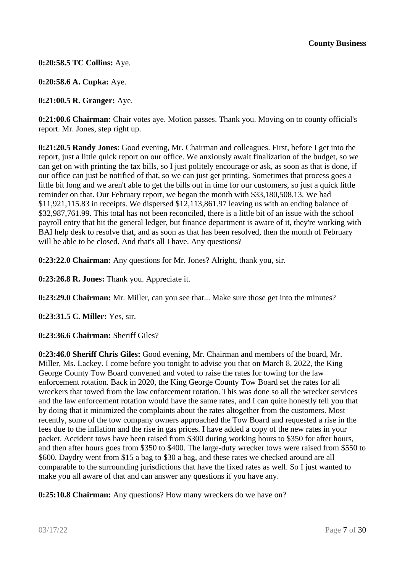**0:20:58.5 TC Collins:** Aye.

**0:20:58.6 A. Cupka:** Aye.

**0:21:00.5 R. Granger:** Aye.

**0:21:00.6 Chairman:** Chair votes aye. Motion passes. Thank you. Moving on to county official's report. Mr. Jones, step right up.

**0:21:20.5 Randy Jones**: Good evening, Mr. Chairman and colleagues. First, before I get into the report, just a little quick report on our office. We anxiously await finalization of the budget, so we can get on with printing the tax bills, so I just politely encourage or ask, as soon as that is done, if our office can just be notified of that, so we can just get printing. Sometimes that process goes a little bit long and we aren't able to get the bills out in time for our customers, so just a quick little reminder on that. Our February report, we began the month with \$33,180,508.13. We had \$11,921,115.83 in receipts. We dispersed \$12,113,861.97 leaving us with an ending balance of \$32,987,761.99. This total has not been reconciled, there is a little bit of an issue with the school payroll entry that hit the general ledger, but finance department is aware of it, they're working with BAI help desk to resolve that, and as soon as that has been resolved, then the month of February will be able to be closed. And that's all I have. Any questions?

**0:23:22.0 Chairman:** Any questions for Mr. Jones? Alright, thank you, sir.

**0:23:26.8 R. Jones:** Thank you. Appreciate it.

**0:23:29.0 Chairman:** Mr. Miller, can you see that... Make sure those get into the minutes?

**0:23:31.5 C. Miller:** Yes, sir.

**0:23:36.6 Chairman:** Sheriff Giles?

**0:23:46.0 Sheriff Chris Giles:** Good evening, Mr. Chairman and members of the board, Mr. Miller, Ms. Lackey. I come before you tonight to advise you that on March 8, 2022, the King George County Tow Board convened and voted to raise the rates for towing for the law enforcement rotation. Back in 2020, the King George County Tow Board set the rates for all wreckers that towed from the law enforcement rotation. This was done so all the wrecker services and the law enforcement rotation would have the same rates, and I can quite honestly tell you that by doing that it minimized the complaints about the rates altogether from the customers. Most recently, some of the tow company owners approached the Tow Board and requested a rise in the fees due to the inflation and the rise in gas prices. I have added a copy of the new rates in your packet. Accident tows have been raised from \$300 during working hours to \$350 for after hours, and then after hours goes from \$350 to \$400. The large-duty wrecker tows were raised from \$550 to \$600. Daydry went from \$15 a bag to \$30 a bag, and these rates we checked around are all comparable to the surrounding jurisdictions that have the fixed rates as well. So I just wanted to make you all aware of that and can answer any questions if you have any.

**0:25:10.8 Chairman:** Any questions? How many wreckers do we have on?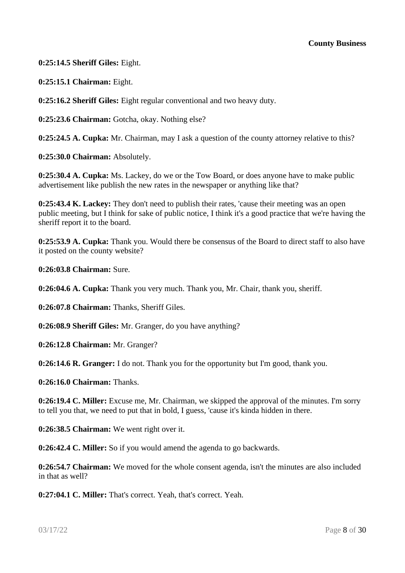**0:25:14.5 Sheriff Giles:** Eight.

**0:25:15.1 Chairman:** Eight.

**0:25:16.2 Sheriff Giles:** Eight regular conventional and two heavy duty.

**0:25:23.6 Chairman:** Gotcha, okay. Nothing else?

**0:25:24.5 A. Cupka:** Mr. Chairman, may I ask a question of the county attorney relative to this?

**0:25:30.0 Chairman:** Absolutely.

**0:25:30.4 A. Cupka:** Ms. Lackey, do we or the Tow Board, or does anyone have to make public advertisement like publish the new rates in the newspaper or anything like that?

**0:25:43.4 K. Lackey:** They don't need to publish their rates, 'cause their meeting was an open public meeting, but I think for sake of public notice, I think it's a good practice that we're having the sheriff report it to the board.

**0:25:53.9 A. Cupka:** Thank you. Would there be consensus of the Board to direct staff to also have it posted on the county website?

**0:26:03.8 Chairman:** Sure.

**0:26:04.6 A. Cupka:** Thank you very much. Thank you, Mr. Chair, thank you, sheriff.

**0:26:07.8 Chairman:** Thanks, Sheriff Giles.

**0:26:08.9 Sheriff Giles:** Mr. Granger, do you have anything?

**0:26:12.8 Chairman:** Mr. Granger?

**0:26:14.6 R. Granger:** I do not. Thank you for the opportunity but I'm good, thank you.

**0:26:16.0 Chairman:** Thanks.

**0:26:19.4 C. Miller:** Excuse me, Mr. Chairman, we skipped the approval of the minutes. I'm sorry to tell you that, we need to put that in bold, I guess, 'cause it's kinda hidden in there.

**0:26:38.5 Chairman:** We went right over it.

**0:26:42.4 C. Miller:** So if you would amend the agenda to go backwards.

**0:26:54.7 Chairman:** We moved for the whole consent agenda, isn't the minutes are also included in that as well?

**0:27:04.1 C. Miller:** That's correct. Yeah, that's correct. Yeah.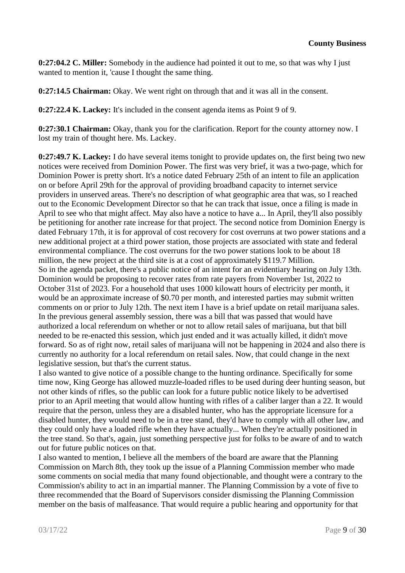**0:27:04.2 C. Miller:** Somebody in the audience had pointed it out to me, so that was why I just wanted to mention it, 'cause I thought the same thing.

**0:27:14.5 Chairman:** Okay. We went right on through that and it was all in the consent.

**0:27:22.4 K. Lackey:** It's included in the consent agenda items as Point 9 of 9.

**0:27:30.1 Chairman:** Okay, thank you for the clarification. Report for the county attorney now. I lost my train of thought here. Ms. Lackey.

**0:27:49.7 K. Lackey:** I do have several items tonight to provide updates on, the first being two new notices were received from Dominion Power. The first was very brief, it was a two-page, which for Dominion Power is pretty short. It's a notice dated February 25th of an intent to file an application on or before April 29th for the approval of providing broadband capacity to internet service providers in unserved areas. There's no description of what geographic area that was, so I reached out to the Economic Development Director so that he can track that issue, once a filing is made in April to see who that might affect. May also have a notice to have a... In April, they'll also possibly be petitioning for another rate increase for that project. The second notice from Dominion Energy is dated February 17th, it is for approval of cost recovery for cost overruns at two power stations and a new additional project at a third power station, those projects are associated with state and federal environmental compliance. The cost overruns for the two power stations look to be about 18 million, the new project at the third site is at a cost of approximately \$119.7 Million. So in the agenda packet, there's a public notice of an intent for an evidentiary hearing on July 13th. Dominion would be proposing to recover rates from rate payers from November 1st, 2022 to October 31st of 2023. For a household that uses 1000 kilowatt hours of electricity per month, it would be an approximate increase of \$0.70 per month, and interested parties may submit written comments on or prior to July 12th. The next item I have is a brief update on retail marijuana sales. In the previous general assembly session, there was a bill that was passed that would have authorized a local referendum on whether or not to allow retail sales of marijuana, but that bill needed to be re-enacted this session, which just ended and it was actually killed, it didn't move forward. So as of right now, retail sales of marijuana will not be happening in 2024 and also there is currently no authority for a local referendum on retail sales. Now, that could change in the next legislative session, but that's the current status.

I also wanted to give notice of a possible change to the hunting ordinance. Specifically for some time now, King George has allowed muzzle-loaded rifles to be used during deer hunting season, but not other kinds of rifles, so the public can look for a future public notice likely to be advertised prior to an April meeting that would allow hunting with rifles of a caliber larger than a 22. It would require that the person, unless they are a disabled hunter, who has the appropriate licensure for a disabled hunter, they would need to be in a tree stand, they'd have to comply with all other law, and they could only have a loaded rifle when they have actually... When they're actually positioned in the tree stand. So that's, again, just something perspective just for folks to be aware of and to watch out for future public notices on that.

I also wanted to mention, I believe all the members of the board are aware that the Planning Commission on March 8th, they took up the issue of a Planning Commission member who made some comments on social media that many found objectionable, and thought were a contrary to the Commission's ability to act in an impartial manner. The Planning Commission by a vote of five to three recommended that the Board of Supervisors consider dismissing the Planning Commission member on the basis of malfeasance. That would require a public hearing and opportunity for that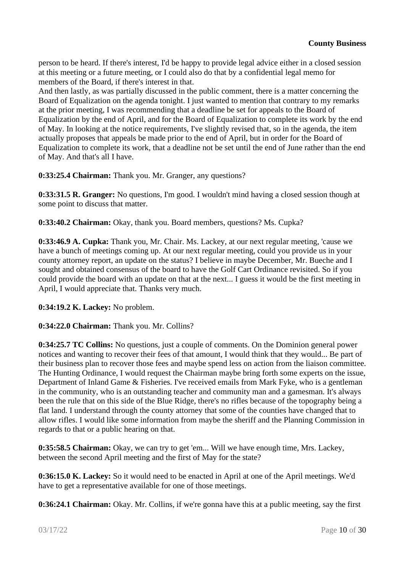person to be heard. If there's interest, I'd be happy to provide legal advice either in a closed session at this meeting or a future meeting, or I could also do that by a confidential legal memo for members of the Board, if there's interest in that.

And then lastly, as was partially discussed in the public comment, there is a matter concerning the Board of Equalization on the agenda tonight. I just wanted to mention that contrary to my remarks at the prior meeting, I was recommending that a deadline be set for appeals to the Board of Equalization by the end of April, and for the Board of Equalization to complete its work by the end of May. In looking at the notice requirements, I've slightly revised that, so in the agenda, the item actually proposes that appeals be made prior to the end of April, but in order for the Board of Equalization to complete its work, that a deadline not be set until the end of June rather than the end of May. And that's all I have.

**0:33:25.4 Chairman:** Thank you. Mr. Granger, any questions?

**0:33:31.5 R. Granger:** No questions, I'm good. I wouldn't mind having a closed session though at some point to discuss that matter.

**0:33:40.2 Chairman:** Okay, thank you. Board members, questions? Ms. Cupka?

**0:33:46.9 A. Cupka:** Thank you, Mr. Chair. Ms. Lackey, at our next regular meeting, 'cause we have a bunch of meetings coming up. At our next regular meeting, could you provide us in your county attorney report, an update on the status? I believe in maybe December, Mr. Bueche and I sought and obtained consensus of the board to have the Golf Cart Ordinance revisited. So if you could provide the board with an update on that at the next... I guess it would be the first meeting in April, I would appreciate that. Thanks very much.

**0:34:19.2 K. Lackey:** No problem.

## **0:34:22.0 Chairman:** Thank you. Mr. Collins?

**0:34:25.7 TC Collins:** No questions, just a couple of comments. On the Dominion general power notices and wanting to recover their fees of that amount, I would think that they would... Be part of their business plan to recover those fees and maybe spend less on action from the liaison committee. The Hunting Ordinance, I would request the Chairman maybe bring forth some experts on the issue, Department of Inland Game & Fisheries. I've received emails from Mark Fyke, who is a gentleman in the community, who is an outstanding teacher and community man and a gamesman. It's always been the rule that on this side of the Blue Ridge, there's no rifles because of the topography being a flat land. I understand through the county attorney that some of the counties have changed that to allow rifles. I would like some information from maybe the sheriff and the Planning Commission in regards to that or a public hearing on that.

**0:35:58.5 Chairman:** Okay, we can try to get 'em... Will we have enough time, Mrs. Lackey, between the second April meeting and the first of May for the state?

**0:36:15.0 K. Lackey:** So it would need to be enacted in April at one of the April meetings. We'd have to get a representative available for one of those meetings.

**0:36:24.1 Chairman:** Okay. Mr. Collins, if we're gonna have this at a public meeting, say the first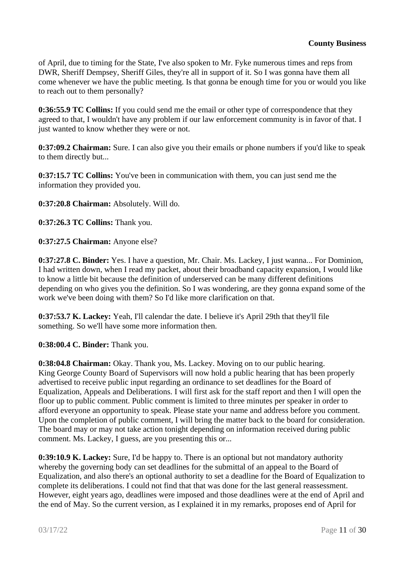of April, due to timing for the State, I've also spoken to Mr. Fyke numerous times and reps from DWR, Sheriff Dempsey, Sheriff Giles, they're all in support of it. So I was gonna have them all come whenever we have the public meeting. Is that gonna be enough time for you or would you like to reach out to them personally?

**0:36:55.9 TC Collins:** If you could send me the email or other type of correspondence that they agreed to that, I wouldn't have any problem if our law enforcement community is in favor of that. I just wanted to know whether they were or not.

**0:37:09.2 Chairman:** Sure. I can also give you their emails or phone numbers if you'd like to speak to them directly but...

**0:37:15.7 TC Collins:** You've been in communication with them, you can just send me the information they provided you.

**0:37:20.8 Chairman:** Absolutely. Will do.

**0:37:26.3 TC Collins:** Thank you.

**0:37:27.5 Chairman:** Anyone else?

**0:37:27.8 C. Binder:** Yes. I have a question, Mr. Chair. Ms. Lackey, I just wanna... For Dominion, I had written down, when I read my packet, about their broadband capacity expansion, I would like to know a little bit because the definition of underserved can be many different definitions depending on who gives you the definition. So I was wondering, are they gonna expand some of the work we've been doing with them? So I'd like more clarification on that.

**0:37:53.7 K. Lackey:** Yeah, I'll calendar the date. I believe it's April 29th that they'll file something. So we'll have some more information then.

**0:38:00.4 C. Binder:** Thank you.

**0:38:04.8 Chairman:** Okay. Thank you, Ms. Lackey. Moving on to our public hearing. King George County Board of Supervisors will now hold a public hearing that has been properly advertised to receive public input regarding an ordinance to set deadlines for the Board of Equalization, Appeals and Deliberations. I will first ask for the staff report and then I will open the floor up to public comment. Public comment is limited to three minutes per speaker in order to afford everyone an opportunity to speak. Please state your name and address before you comment. Upon the completion of public comment, I will bring the matter back to the board for consideration. The board may or may not take action tonight depending on information received during public comment. Ms. Lackey, I guess, are you presenting this or...

**0:39:10.9 K. Lackey:** Sure, I'd be happy to. There is an optional but not mandatory authority whereby the governing body can set deadlines for the submittal of an appeal to the Board of Equalization, and also there's an optional authority to set a deadline for the Board of Equalization to complete its deliberations. I could not find that that was done for the last general reassessment. However, eight years ago, deadlines were imposed and those deadlines were at the end of April and the end of May. So the current version, as I explained it in my remarks, proposes end of April for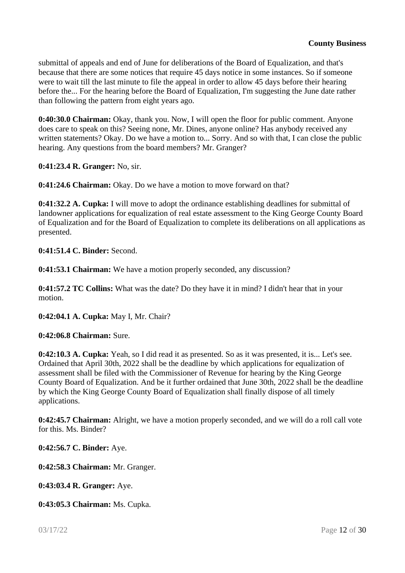submittal of appeals and end of June for deliberations of the Board of Equalization, and that's because that there are some notices that require 45 days notice in some instances. So if someone were to wait till the last minute to file the appeal in order to allow 45 days before their hearing before the... For the hearing before the Board of Equalization, I'm suggesting the June date rather than following the pattern from eight years ago.

**0:40:30.0 Chairman:** Okay, thank you. Now, I will open the floor for public comment. Anyone does care to speak on this? Seeing none, Mr. Dines, anyone online? Has anybody received any written statements? Okay. Do we have a motion to... Sorry. And so with that, I can close the public hearing. Any questions from the board members? Mr. Granger?

**0:41:23.4 R. Granger:** No, sir.

**0:41:24.6 Chairman:** Okay. Do we have a motion to move forward on that?

**0:41:32.2 A. Cupka:** I will move to adopt the ordinance establishing deadlines for submittal of landowner applications for equalization of real estate assessment to the King George County Board of Equalization and for the Board of Equalization to complete its deliberations on all applications as presented.

**0:41:51.4 C. Binder:** Second.

**0:41:53.1 Chairman:** We have a motion properly seconded, any discussion?

**0:41:57.2 TC Collins:** What was the date? Do they have it in mind? I didn't hear that in your motion.

**0:42:04.1 A. Cupka:** May I, Mr. Chair?

**0:42:06.8 Chairman:** Sure.

**0:42:10.3 A. Cupka:** Yeah, so I did read it as presented. So as it was presented, it is... Let's see. Ordained that April 30th, 2022 shall be the deadline by which applications for equalization of assessment shall be filed with the Commissioner of Revenue for hearing by the King George County Board of Equalization. And be it further ordained that June 30th, 2022 shall be the deadline by which the King George County Board of Equalization shall finally dispose of all timely applications.

**0:42:45.7 Chairman:** Alright, we have a motion properly seconded, and we will do a roll call vote for this. Ms. Binder?

**0:42:56.7 C. Binder:** Aye.

**0:42:58.3 Chairman:** Mr. Granger.

**0:43:03.4 R. Granger:** Aye.

**0:43:05.3 Chairman:** Ms. Cupka.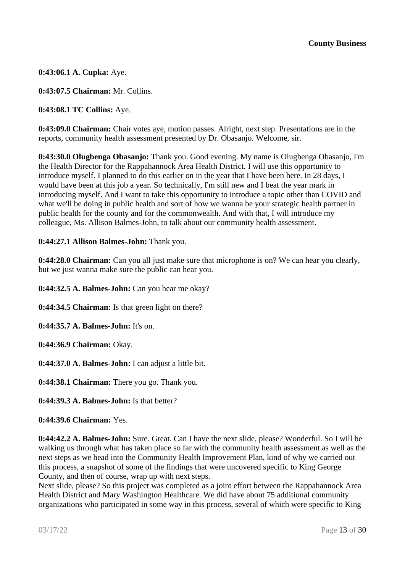**0:43:06.1 A. Cupka:** Aye.

**0:43:07.5 Chairman:** Mr. Collins.

**0:43:08.1 TC Collins:** Aye.

**0:43:09.0 Chairman:** Chair votes aye, motion passes. Alright, next step. Presentations are in the reports, community health assessment presented by Dr. Obasanjo. Welcome, sir.

**0:43:30.0 Olugbenga Obasanjo:** Thank you. Good evening. My name is Olugbenga Obasanjo, I'm the Health Director for the Rappahannock Area Health District. I will use this opportunity to introduce myself. I planned to do this earlier on in the year that I have been here. In 28 days, I would have been at this job a year. So technically, I'm still new and I beat the year mark in introducing myself. And I want to take this opportunity to introduce a topic other than COVID and what we'll be doing in public health and sort of how we wanna be your strategic health partner in public health for the county and for the commonwealth. And with that, I will introduce my colleague, Ms. Allison Balmes-John, to talk about our community health assessment.

#### **0:44:27.1 Allison Balmes-John:** Thank you.

**0:44:28.0 Chairman:** Can you all just make sure that microphone is on? We can hear you clearly, but we just wanna make sure the public can hear you.

**0:44:32.5 A. Balmes-John:** Can you hear me okay?

**0:44:34.5 Chairman:** Is that green light on there?

**0:44:35.7 A. Balmes-John:** It's on.

**0:44:36.9 Chairman:** Okay.

**0:44:37.0 A. Balmes-John:** I can adjust a little bit.

**0:44:38.1 Chairman:** There you go. Thank you.

**0:44:39.3 A. Balmes-John:** Is that better?

**0:44:39.6 Chairman:** Yes.

**0:44:42.2 A. Balmes-John:** Sure. Great. Can I have the next slide, please? Wonderful. So I will be walking us through what has taken place so far with the community health assessment as well as the next steps as we head into the Community Health Improvement Plan, kind of why we carried out this process, a snapshot of some of the findings that were uncovered specific to King George County, and then of course, wrap up with next steps.

Next slide, please? So this project was completed as a joint effort between the Rappahannock Area Health District and Mary Washington Healthcare. We did have about 75 additional community organizations who participated in some way in this process, several of which were specific to King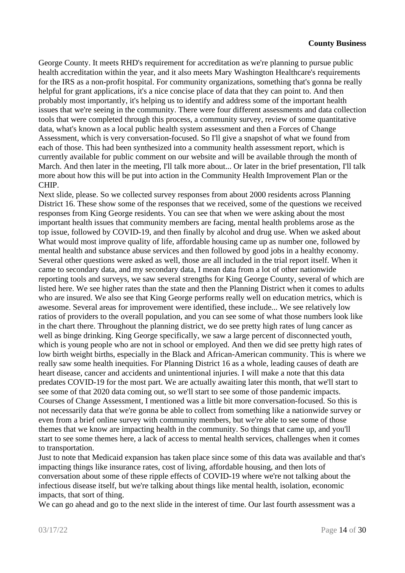George County. It meets RHD's requirement for accreditation as we're planning to pursue public health accreditation within the year, and it also meets Mary Washington Healthcare's requirements for the IRS as a non-profit hospital. For community organizations, something that's gonna be really helpful for grant applications, it's a nice concise place of data that they can point to. And then probably most importantly, it's helping us to identify and address some of the important health issues that we're seeing in the community. There were four different assessments and data collection tools that were completed through this process, a community survey, review of some quantitative data, what's known as a local public health system assessment and then a Forces of Change Assessment, which is very conversation-focused. So I'll give a snapshot of what we found from each of those. This had been synthesized into a community health assessment report, which is currently available for public comment on our website and will be available through the month of March. And then later in the meeting, I'll talk more about... Or later in the brief presentation, I'll talk more about how this will be put into action in the Community Health Improvement Plan or the CHIP.

Next slide, please. So we collected survey responses from about 2000 residents across Planning District 16. These show some of the responses that we received, some of the questions we received responses from King George residents. You can see that when we were asking about the most important health issues that community members are facing, mental health problems arose as the top issue, followed by COVID-19, and then finally by alcohol and drug use. When we asked about What would most improve quality of life, affordable housing came up as number one, followed by mental health and substance abuse services and then followed by good jobs in a healthy economy. Several other questions were asked as well, those are all included in the trial report itself. When it came to secondary data, and my secondary data, I mean data from a lot of other nationwide reporting tools and surveys, we saw several strengths for King George County, several of which are listed here. We see higher rates than the state and then the Planning District when it comes to adults who are insured. We also see that King George performs really well on education metrics, which is awesome. Several areas for improvement were identified, these include... We see relatively low ratios of providers to the overall population, and you can see some of what those numbers look like in the chart there. Throughout the planning district, we do see pretty high rates of lung cancer as well as binge drinking. King George specifically, we saw a large percent of disconnected youth, which is young people who are not in school or employed. And then we did see pretty high rates of low birth weight births, especially in the Black and African-American community. This is where we really saw some health inequities. For Planning District 16 as a whole, leading causes of death are heart disease, cancer and accidents and unintentional injuries. I will make a note that this data predates COVID-19 for the most part. We are actually awaiting later this month, that we'll start to see some of that 2020 data coming out, so we'll start to see some of those pandemic impacts. Courses of Change Assessment, I mentioned was a little bit more conversation-focused. So this is not necessarily data that we're gonna be able to collect from something like a nationwide survey or even from a brief online survey with community members, but we're able to see some of those themes that we know are impacting health in the community. So things that came up, and you'll start to see some themes here, a lack of access to mental health services, challenges when it comes to transportation.

Just to note that Medicaid expansion has taken place since some of this data was available and that's impacting things like insurance rates, cost of living, affordable housing, and then lots of conversation about some of these ripple effects of COVID-19 where we're not talking about the infectious disease itself, but we're talking about things like mental health, isolation, economic impacts, that sort of thing.

We can go ahead and go to the next slide in the interest of time. Our last fourth assessment was a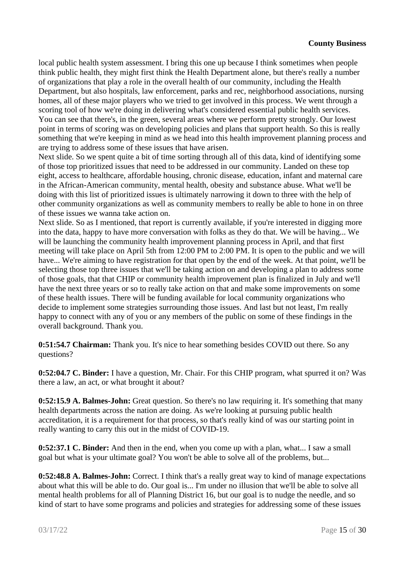local public health system assessment. I bring this one up because I think sometimes when people think public health, they might first think the Health Department alone, but there's really a number of organizations that play a role in the overall health of our community, including the Health Department, but also hospitals, law enforcement, parks and rec, neighborhood associations, nursing homes, all of these major players who we tried to get involved in this process. We went through a scoring tool of how we're doing in delivering what's considered essential public health services. You can see that there's, in the green, several areas where we perform pretty strongly. Our lowest point in terms of scoring was on developing policies and plans that support health. So this is really something that we're keeping in mind as we head into this health improvement planning process and are trying to address some of these issues that have arisen.

Next slide. So we spent quite a bit of time sorting through all of this data, kind of identifying some of those top prioritized issues that need to be addressed in our community. Landed on these top eight, access to healthcare, affordable housing, chronic disease, education, infant and maternal care in the African-American community, mental health, obesity and substance abuse. What we'll be doing with this list of prioritized issues is ultimately narrowing it down to three with the help of other community organizations as well as community members to really be able to hone in on three of these issues we wanna take action on.

Next slide. So as I mentioned, that report is currently available, if you're interested in digging more into the data, happy to have more conversation with folks as they do that. We will be having... We will be launching the community health improvement planning process in April, and that first meeting will take place on April 5th from 12:00 PM to 2:00 PM. It is open to the public and we will have... We're aiming to have registration for that open by the end of the week. At that point, we'll be selecting those top three issues that we'll be taking action on and developing a plan to address some of those goals, that that CHIP or community health improvement plan is finalized in July and we'll have the next three years or so to really take action on that and make some improvements on some of these health issues. There will be funding available for local community organizations who decide to implement some strategies surrounding those issues. And last but not least, I'm really happy to connect with any of you or any members of the public on some of these findings in the overall background. Thank you.

**0:51:54.7 Chairman:** Thank you. It's nice to hear something besides COVID out there. So any questions?

**0:52:04.7 C. Binder:** I have a question, Mr. Chair. For this CHIP program, what spurred it on? Was there a law, an act, or what brought it about?

**0:52:15.9 A. Balmes-John:** Great question. So there's no law requiring it. It's something that many health departments across the nation are doing. As we're looking at pursuing public health accreditation, it is a requirement for that process, so that's really kind of was our starting point in really wanting to carry this out in the midst of COVID-19.

**0:52:37.1 C. Binder:** And then in the end, when you come up with a plan, what... I saw a small goal but what is your ultimate goal? You won't be able to solve all of the problems, but...

**0:52:48.8 A. Balmes-John:** Correct. I think that's a really great way to kind of manage expectations about what this will be able to do. Our goal is... I'm under no illusion that we'll be able to solve all mental health problems for all of Planning District 16, but our goal is to nudge the needle, and so kind of start to have some programs and policies and strategies for addressing some of these issues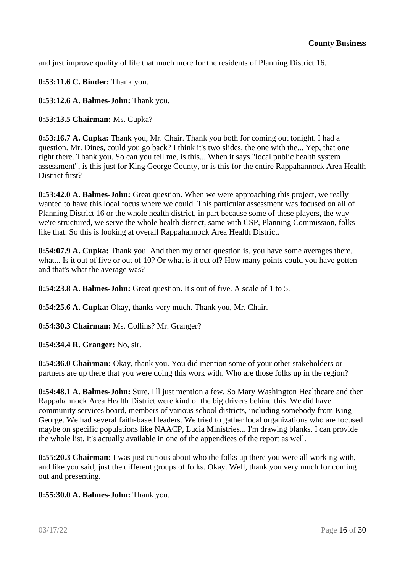and just improve quality of life that much more for the residents of Planning District 16.

**0:53:11.6 C. Binder:** Thank you.

**0:53:12.6 A. Balmes-John:** Thank you.

**0:53:13.5 Chairman:** Ms. Cupka?

**0:53:16.7 A. Cupka:** Thank you, Mr. Chair. Thank you both for coming out tonight. I had a question. Mr. Dines, could you go back? I think it's two slides, the one with the... Yep, that one right there. Thank you. So can you tell me, is this... When it says "local public health system assessment", is this just for King George County, or is this for the entire Rappahannock Area Health District first?

**0:53:42.0 A. Balmes-John:** Great question. When we were approaching this project, we really wanted to have this local focus where we could. This particular assessment was focused on all of Planning District 16 or the whole health district, in part because some of these players, the way we're structured, we serve the whole health district, same with CSP, Planning Commission, folks like that. So this is looking at overall Rappahannock Area Health District.

**0:54:07.9 A. Cupka:** Thank you. And then my other question is, you have some averages there, what... Is it out of five or out of 10? Or what is it out of? How many points could you have gotten and that's what the average was?

**0:54:23.8 A. Balmes-John:** Great question. It's out of five. A scale of 1 to 5.

**0:54:25.6 A. Cupka:** Okay, thanks very much. Thank you, Mr. Chair.

**0:54:30.3 Chairman:** Ms. Collins? Mr. Granger?

**0:54:34.4 R. Granger:** No, sir.

**0:54:36.0 Chairman:** Okay, thank you. You did mention some of your other stakeholders or partners are up there that you were doing this work with. Who are those folks up in the region?

**0:54:48.1 A. Balmes-John:** Sure. I'll just mention a few. So Mary Washington Healthcare and then Rappahannock Area Health District were kind of the big drivers behind this. We did have community services board, members of various school districts, including somebody from King George. We had several faith-based leaders. We tried to gather local organizations who are focused maybe on specific populations like NAACP, Lucia Ministries... I'm drawing blanks. I can provide the whole list. It's actually available in one of the appendices of the report as well.

**0:55:20.3 Chairman:** I was just curious about who the folks up there you were all working with, and like you said, just the different groups of folks. Okay. Well, thank you very much for coming out and presenting.

**0:55:30.0 A. Balmes-John:** Thank you.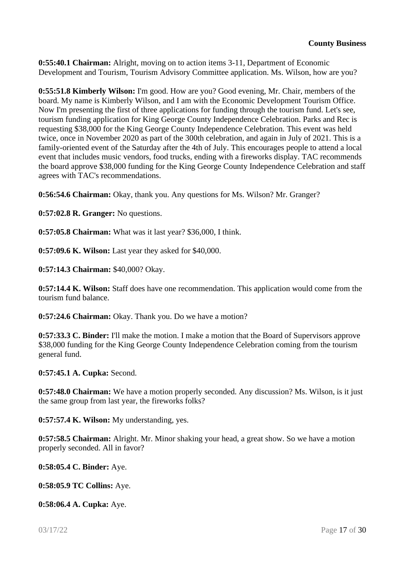**0:55:40.1 Chairman:** Alright, moving on to action items 3-11, Department of Economic Development and Tourism, Tourism Advisory Committee application. Ms. Wilson, how are you?

**0:55:51.8 Kimberly Wilson:** I'm good. How are you? Good evening, Mr. Chair, members of the board. My name is Kimberly Wilson, and I am with the Economic Development Tourism Office. Now I'm presenting the first of three applications for funding through the tourism fund. Let's see, tourism funding application for King George County Independence Celebration. Parks and Rec is requesting \$38,000 for the King George County Independence Celebration. This event was held twice, once in November 2020 as part of the 300th celebration, and again in July of 2021. This is a family-oriented event of the Saturday after the 4th of July. This encourages people to attend a local event that includes music vendors, food trucks, ending with a fireworks display. TAC recommends the board approve \$38,000 funding for the King George County Independence Celebration and staff agrees with TAC's recommendations.

**0:56:54.6 Chairman:** Okay, thank you. Any questions for Ms. Wilson? Mr. Granger?

**0:57:02.8 R. Granger:** No questions.

**0:57:05.8 Chairman:** What was it last year? \$36,000, I think.

**0:57:09.6 K. Wilson:** Last year they asked for \$40,000.

**0:57:14.3 Chairman:** \$40,000? Okay.

**0:57:14.4 K. Wilson:** Staff does have one recommendation. This application would come from the tourism fund balance.

**0:57:24.6 Chairman:** Okay. Thank you. Do we have a motion?

**0:57:33.3 C. Binder:** I'll make the motion. I make a motion that the Board of Supervisors approve \$38,000 funding for the King George County Independence Celebration coming from the tourism general fund.

**0:57:45.1 A. Cupka:** Second.

**0:57:48.0 Chairman:** We have a motion properly seconded. Any discussion? Ms. Wilson, is it just the same group from last year, the fireworks folks?

**0:57:57.4 K. Wilson:** My understanding, yes.

**0:57:58.5 Chairman:** Alright. Mr. Minor shaking your head, a great show. So we have a motion properly seconded. All in favor?

**0:58:05.4 C. Binder:** Aye.

**0:58:05.9 TC Collins:** Aye.

**0:58:06.4 A. Cupka:** Aye.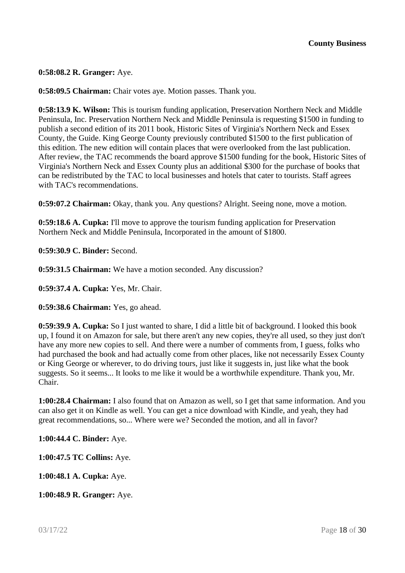**0:58:08.2 R. Granger:** Aye.

**0:58:09.5 Chairman:** Chair votes aye. Motion passes. Thank you.

**0:58:13.9 K. Wilson:** This is tourism funding application, Preservation Northern Neck and Middle Peninsula, Inc. Preservation Northern Neck and Middle Peninsula is requesting \$1500 in funding to publish a second edition of its 2011 book, Historic Sites of Virginia's Northern Neck and Essex County, the Guide. King George County previously contributed \$1500 to the first publication of this edition. The new edition will contain places that were overlooked from the last publication. After review, the TAC recommends the board approve \$1500 funding for the book, Historic Sites of Virginia's Northern Neck and Essex County plus an additional \$300 for the purchase of books that can be redistributed by the TAC to local businesses and hotels that cater to tourists. Staff agrees with TAC's recommendations.

**0:59:07.2 Chairman:** Okay, thank you. Any questions? Alright. Seeing none, move a motion.

**0:59:18.6 A. Cupka:** I'll move to approve the tourism funding application for Preservation Northern Neck and Middle Peninsula, Incorporated in the amount of \$1800.

**0:59:30.9 C. Binder:** Second.

**0:59:31.5 Chairman:** We have a motion seconded. Any discussion?

**0:59:37.4 A. Cupka:** Yes, Mr. Chair.

**0:59:38.6 Chairman:** Yes, go ahead.

**0:59:39.9 A. Cupka:** So I just wanted to share, I did a little bit of background. I looked this book up, I found it on Amazon for sale, but there aren't any new copies, they're all used, so they just don't have any more new copies to sell. And there were a number of comments from, I guess, folks who had purchased the book and had actually come from other places, like not necessarily Essex County or King George or wherever, to do driving tours, just like it suggests in, just like what the book suggests. So it seems... It looks to me like it would be a worthwhile expenditure. Thank you, Mr. Chair.

**1:00:28.4 Chairman:** I also found that on Amazon as well, so I get that same information. And you can also get it on Kindle as well. You can get a nice download with Kindle, and yeah, they had great recommendations, so... Where were we? Seconded the motion, and all in favor?

**1:00:44.4 C. Binder:** Aye.

**1:00:47.5 TC Collins:** Aye.

**1:00:48.1 A. Cupka:** Aye.

**1:00:48.9 R. Granger:** Aye.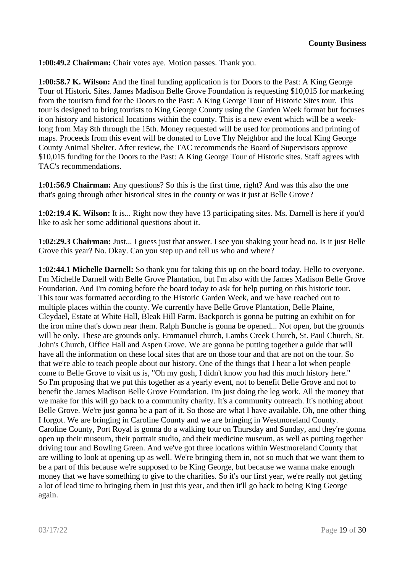**1:00:49.2 Chairman:** Chair votes aye. Motion passes. Thank you.

**1:00:58.7 K. Wilson:** And the final funding application is for Doors to the Past: A King George Tour of Historic Sites. James Madison Belle Grove Foundation is requesting \$10,015 for marketing from the tourism fund for the Doors to the Past: A King George Tour of Historic Sites tour. This tour is designed to bring tourists to King George County using the Garden Week format but focuses it on history and historical locations within the county. This is a new event which will be a weeklong from May 8th through the 15th. Money requested will be used for promotions and printing of maps. Proceeds from this event will be donated to Love Thy Neighbor and the local King George County Animal Shelter. After review, the TAC recommends the Board of Supervisors approve \$10,015 funding for the Doors to the Past: A King George Tour of Historic sites. Staff agrees with TAC's recommendations.

**1:01:56.9 Chairman:** Any questions? So this is the first time, right? And was this also the one that's going through other historical sites in the county or was it just at Belle Grove?

**1:02:19.4 K. Wilson:** It is... Right now they have 13 participating sites. Ms. Darnell is here if you'd like to ask her some additional questions about it.

**1:02:29.3 Chairman:** Just... I guess just that answer. I see you shaking your head no. Is it just Belle Grove this year? No. Okay. Can you step up and tell us who and where?

**1:02:44.1 Michelle Darnell:** So thank you for taking this up on the board today. Hello to everyone. I'm Michelle Darnell with Belle Grove Plantation, but I'm also with the James Madison Belle Grove Foundation. And I'm coming before the board today to ask for help putting on this historic tour. This tour was formatted according to the Historic Garden Week, and we have reached out to multiple places within the county. We currently have Belle Grove Plantation, Belle Plaine, Cleydael, Estate at White Hall, Bleak Hill Farm. Backporch is gonna be putting an exhibit on for the iron mine that's down near them. Ralph Bunche is gonna be opened... Not open, but the grounds will be only. These are grounds only. Emmanuel church, Lambs Creek Church, St. Paul Church, St. John's Church, Office Hall and Aspen Grove. We are gonna be putting together a guide that will have all the information on these local sites that are on those tour and that are not on the tour. So that we're able to teach people about our history. One of the things that I hear a lot when people come to Belle Grove to visit us is, "Oh my gosh, I didn't know you had this much history here." So I'm proposing that we put this together as a yearly event, not to benefit Belle Grove and not to benefit the James Madison Belle Grove Foundation. I'm just doing the leg work. All the money that we make for this will go back to a community charity. It's a community outreach. It's nothing about Belle Grove. We're just gonna be a part of it. So those are what I have available. Oh, one other thing I forgot. We are bringing in Caroline County and we are bringing in Westmoreland County. Caroline County, Port Royal is gonna do a walking tour on Thursday and Sunday, and they're gonna open up their museum, their portrait studio, and their medicine museum, as well as putting together driving tour and Bowling Green. And we've got three locations within Westmoreland County that are willing to look at opening up as well. We're bringing them in, not so much that we want them to be a part of this because we're supposed to be King George, but because we wanna make enough money that we have something to give to the charities. So it's our first year, we're really not getting a lot of lead time to bringing them in just this year, and then it'll go back to being King George again.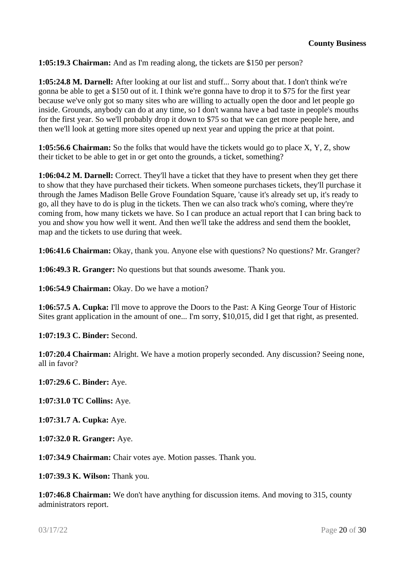**1:05:19.3 Chairman:** And as I'm reading along, the tickets are \$150 per person?

**1:05:24.8 M. Darnell:** After looking at our list and stuff... Sorry about that. I don't think we're gonna be able to get a \$150 out of it. I think we're gonna have to drop it to \$75 for the first year because we've only got so many sites who are willing to actually open the door and let people go inside. Grounds, anybody can do at any time, so I don't wanna have a bad taste in people's mouths for the first year. So we'll probably drop it down to \$75 so that we can get more people here, and then we'll look at getting more sites opened up next year and upping the price at that point.

**1:05:56.6 Chairman:** So the folks that would have the tickets would go to place X, Y, Z, show their ticket to be able to get in or get onto the grounds, a ticket, something?

**1:06:04.2 M. Darnell:** Correct. They'll have a ticket that they have to present when they get there to show that they have purchased their tickets. When someone purchases tickets, they'll purchase it through the James Madison Belle Grove Foundation Square, 'cause it's already set up, it's ready to go, all they have to do is plug in the tickets. Then we can also track who's coming, where they're coming from, how many tickets we have. So I can produce an actual report that I can bring back to you and show you how well it went. And then we'll take the address and send them the booklet, map and the tickets to use during that week.

**1:06:41.6 Chairman:** Okay, thank you. Anyone else with questions? No questions? Mr. Granger?

**1:06:49.3 R. Granger:** No questions but that sounds awesome. Thank you.

**1:06:54.9 Chairman:** Okay. Do we have a motion?

**1:06:57.5 A. Cupka:** I'll move to approve the Doors to the Past: A King George Tour of Historic Sites grant application in the amount of one... I'm sorry, \$10,015, did I get that right, as presented.

**1:07:19.3 C. Binder:** Second.

**1:07:20.4 Chairman:** Alright. We have a motion properly seconded. Any discussion? Seeing none, all in favor?

**1:07:29.6 C. Binder:** Aye.

**1:07:31.0 TC Collins:** Aye.

**1:07:31.7 A. Cupka:** Aye.

**1:07:32.0 R. Granger:** Aye.

**1:07:34.9 Chairman:** Chair votes aye. Motion passes. Thank you.

**1:07:39.3 K. Wilson:** Thank you.

**1:07:46.8 Chairman:** We don't have anything for discussion items. And moving to 315, county administrators report.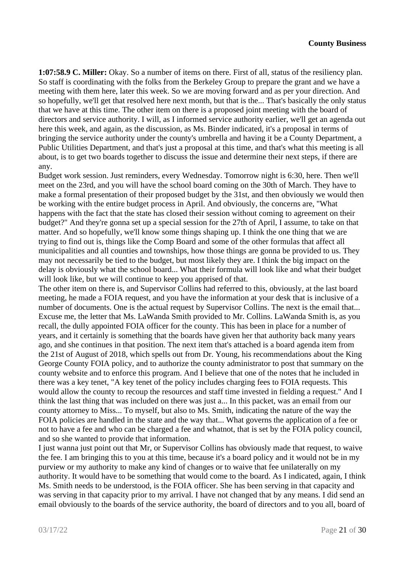**1:07:58.9 C. Miller:** Okay. So a number of items on there. First of all, status of the resiliency plan. So staff is coordinating with the folks from the Berkeley Group to prepare the grant and we have a meeting with them here, later this week. So we are moving forward and as per your direction. And so hopefully, we'll get that resolved here next month, but that is the... That's basically the only status that we have at this time. The other item on there is a proposed joint meeting with the board of directors and service authority. I will, as I informed service authority earlier, we'll get an agenda out here this week, and again, as the discussion, as Ms. Binder indicated, it's a proposal in terms of bringing the service authority under the county's umbrella and having it be a County Department, a Public Utilities Department, and that's just a proposal at this time, and that's what this meeting is all about, is to get two boards together to discuss the issue and determine their next steps, if there are any.

Budget work session. Just reminders, every Wednesday. Tomorrow night is 6:30, here. Then we'll meet on the 23rd, and you will have the school board coming on the 30th of March. They have to make a formal presentation of their proposed budget by the 31st, and then obviously we would then be working with the entire budget process in April. And obviously, the concerns are, "What happens with the fact that the state has closed their session without coming to agreement on their budget?" And they're gonna set up a special session for the 27th of April, I assume, to take on that matter. And so hopefully, we'll know some things shaping up. I think the one thing that we are trying to find out is, things like the Comp Board and some of the other formulas that affect all municipalities and all counties and townships, how those things are gonna be provided to us. They may not necessarily be tied to the budget, but most likely they are. I think the big impact on the delay is obviously what the school board... What their formula will look like and what their budget will look like, but we will continue to keep you apprised of that.

The other item on there is, and Supervisor Collins had referred to this, obviously, at the last board meeting, he made a FOIA request, and you have the information at your desk that is inclusive of a number of documents. One is the actual request by Supervisor Collins. The next is the email that... Excuse me, the letter that Ms. LaWanda Smith provided to Mr. Collins. LaWanda Smith is, as you recall, the dully appointed FOIA officer for the county. This has been in place for a number of years, and it certainly is something that the boards have given her that authority back many years ago, and she continues in that position. The next item that's attached is a board agenda item from the 21st of August of 2018, which spells out from Dr. Young, his recommendations about the King George County FOIA policy, and to authorize the county administrator to post that summary on the county website and to enforce this program. And I believe that one of the notes that he included in there was a key tenet, "A key tenet of the policy includes charging fees to FOIA requests. This would allow the county to recoup the resources and staff time invested in fielding a request." And I think the last thing that was included on there was just a... In this packet, was an email from our county attorney to Miss... To myself, but also to Ms. Smith, indicating the nature of the way the FOIA policies are handled in the state and the way that... What governs the application of a fee or not to have a fee and who can be charged a fee and whatnot, that is set by the FOIA policy council, and so she wanted to provide that information.

I just wanna just point out that Mr, or Supervisor Collins has obviously made that request, to waive the fee. I am bringing this to you at this time, because it's a board policy and it would not be in my purview or my authority to make any kind of changes or to waive that fee unilaterally on my authority. It would have to be something that would come to the board. As I indicated, again, I think Ms. Smith needs to be understood, is the FOIA officer. She has been serving in that capacity and was serving in that capacity prior to my arrival. I have not changed that by any means. I did send an email obviously to the boards of the service authority, the board of directors and to you all, board of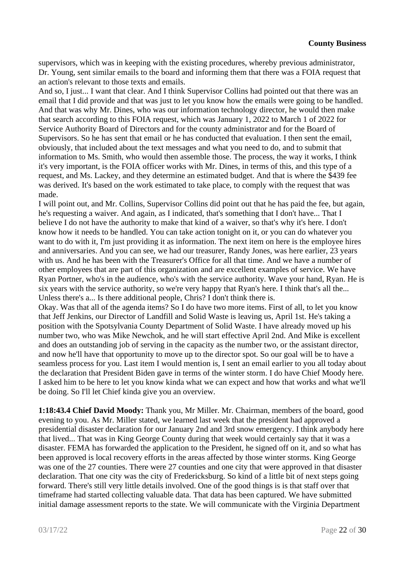supervisors, which was in keeping with the existing procedures, whereby previous administrator, Dr. Young, sent similar emails to the board and informing them that there was a FOIA request that an action's relevant to those texts and emails.

And so, I just... I want that clear. And I think Supervisor Collins had pointed out that there was an email that I did provide and that was just to let you know how the emails were going to be handled. And that was why Mr. Dines, who was our information technology director, he would then make that search according to this FOIA request, which was January 1, 2022 to March 1 of 2022 for Service Authority Board of Directors and for the county administrator and for the Board of Supervisors. So he has sent that email or he has conducted that evaluation. I then sent the email, obviously, that included about the text messages and what you need to do, and to submit that information to Ms. Smith, who would then assemble those. The process, the way it works, I think it's very important, is the FOIA officer works with Mr. Dines, in terms of this, and this type of a request, and Ms. Lackey, and they determine an estimated budget. And that is where the \$439 fee was derived. It's based on the work estimated to take place, to comply with the request that was made.

I will point out, and Mr. Collins, Supervisor Collins did point out that he has paid the fee, but again, he's requesting a waiver. And again, as I indicated, that's something that I don't have... That I believe I do not have the authority to make that kind of a waiver, so that's why it's here. I don't know how it needs to be handled. You can take action tonight on it, or you can do whatever you want to do with it, I'm just providing it as information. The next item on here is the employee hires and anniversaries. And you can see, we had our treasurer, Randy Jones, was here earlier, 23 years with us. And he has been with the Treasurer's Office for all that time. And we have a number of other employees that are part of this organization and are excellent examples of service. We have Ryan Portner, who's in the audience, who's with the service authority. Wave your hand, Ryan. He is six years with the service authority, so we're very happy that Ryan's here. I think that's all the... Unless there's a... Is there additional people, Chris? I don't think there is.

Okay. Was that all of the agenda items? So I do have two more items. First of all, to let you know that Jeff Jenkins, our Director of Landfill and Solid Waste is leaving us, April 1st. He's taking a position with the Spotsylvania County Department of Solid Waste. I have already moved up his number two, who was Mike Newchok, and he will start effective April 2nd. And Mike is excellent and does an outstanding job of serving in the capacity as the number two, or the assistant director, and now he'll have that opportunity to move up to the director spot. So our goal will be to have a seamless process for you. Last item I would mention is, I sent an email earlier to you all today about the declaration that President Biden gave in terms of the winter storm. I do have Chief Moody here. I asked him to be here to let you know kinda what we can expect and how that works and what we'll be doing. So I'll let Chief kinda give you an overview.

**1:18:43.4 Chief David Moody:** Thank you, Mr Miller. Mr. Chairman, members of the board, good evening to you. As Mr. Miller stated, we learned last week that the president had approved a presidential disaster declaration for our January 2nd and 3rd snow emergency. I think anybody here that lived... That was in King George County during that week would certainly say that it was a disaster. FEMA has forwarded the application to the President, he signed off on it, and so what has been approved is local recovery efforts in the areas affected by those winter storms. King George was one of the 27 counties. There were 27 counties and one city that were approved in that disaster declaration. That one city was the city of Fredericksburg. So kind of a little bit of next steps going forward. There's still very little details involved. One of the good things is is that staff over that timeframe had started collecting valuable data. That data has been captured. We have submitted initial damage assessment reports to the state. We will communicate with the Virginia Department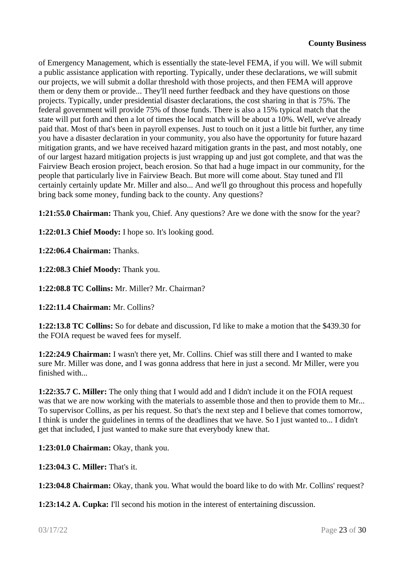of Emergency Management, which is essentially the state-level FEMA, if you will. We will submit a public assistance application with reporting. Typically, under these declarations, we will submit our projects, we will submit a dollar threshold with those projects, and then FEMA will approve them or deny them or provide... They'll need further feedback and they have questions on those projects. Typically, under presidential disaster declarations, the cost sharing in that is 75%. The federal government will provide 75% of those funds. There is also a 15% typical match that the state will put forth and then a lot of times the local match will be about a 10%. Well, we've already paid that. Most of that's been in payroll expenses. Just to touch on it just a little bit further, any time you have a disaster declaration in your community, you also have the opportunity for future hazard mitigation grants, and we have received hazard mitigation grants in the past, and most notably, one of our largest hazard mitigation projects is just wrapping up and just got complete, and that was the Fairview Beach erosion project, beach erosion. So that had a huge impact in our community, for the people that particularly live in Fairview Beach. But more will come about. Stay tuned and I'll certainly certainly update Mr. Miller and also... And we'll go throughout this process and hopefully bring back some money, funding back to the county. Any questions?

**1:21:55.0 Chairman:** Thank you, Chief. Any questions? Are we done with the snow for the year?

**1:22:01.3 Chief Moody:** I hope so. It's looking good.

**1:22:06.4 Chairman:** Thanks.

**1:22:08.3 Chief Moody:** Thank you.

**1:22:08.8 TC Collins:** Mr. Miller? Mr. Chairman?

**1:22:11.4 Chairman:** Mr. Collins?

**1:22:13.8 TC Collins:** So for debate and discussion, I'd like to make a motion that the \$439.30 for the FOIA request be waved fees for myself.

**1:22:24.9 Chairman:** I wasn't there yet, Mr. Collins. Chief was still there and I wanted to make sure Mr. Miller was done, and I was gonna address that here in just a second. Mr Miller, were you finished with...

**1:22:35.7 C. Miller:** The only thing that I would add and I didn't include it on the FOIA request was that we are now working with the materials to assemble those and then to provide them to Mr... To supervisor Collins, as per his request. So that's the next step and I believe that comes tomorrow, I think is under the guidelines in terms of the deadlines that we have. So I just wanted to... I didn't get that included, I just wanted to make sure that everybody knew that.

**1:23:01.0 Chairman:** Okay, thank you.

**1:23:04.3 C. Miller:** That's it.

**1:23:04.8 Chairman:** Okay, thank you. What would the board like to do with Mr. Collins' request?

**1:23:14.2 A. Cupka:** I'll second his motion in the interest of entertaining discussion.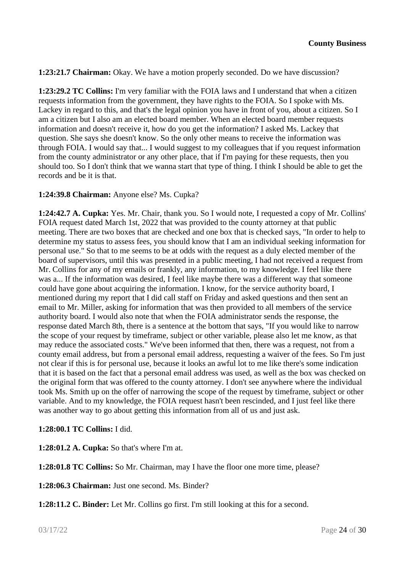**1:23:21.7 Chairman:** Okay. We have a motion properly seconded. Do we have discussion?

**1:23:29.2 TC Collins:** I'm very familiar with the FOIA laws and I understand that when a citizen requests information from the government, they have rights to the FOIA. So I spoke with Ms. Lackey in regard to this, and that's the legal opinion you have in front of you, about a citizen. So I am a citizen but I also am an elected board member. When an elected board member requests information and doesn't receive it, how do you get the information? I asked Ms. Lackey that question. She says she doesn't know. So the only other means to receive the information was through FOIA. I would say that... I would suggest to my colleagues that if you request information from the county administrator or any other place, that if I'm paying for these requests, then you should too. So I don't think that we wanna start that type of thing. I think I should be able to get the records and be it is that.

### **1:24:39.8 Chairman:** Anyone else? Ms. Cupka?

**1:24:42.7 A. Cupka:** Yes. Mr. Chair, thank you. So I would note, I requested a copy of Mr. Collins' FOIA request dated March 1st, 2022 that was provided to the county attorney at that public meeting. There are two boxes that are checked and one box that is checked says, "In order to help to determine my status to assess fees, you should know that I am an individual seeking information for personal use." So that to me seems to be at odds with the request as a duly elected member of the board of supervisors, until this was presented in a public meeting, I had not received a request from Mr. Collins for any of my emails or frankly, any information, to my knowledge. I feel like there was a... If the information was desired, I feel like maybe there was a different way that someone could have gone about acquiring the information. I know, for the service authority board, I mentioned during my report that I did call staff on Friday and asked questions and then sent an email to Mr. Miller, asking for information that was then provided to all members of the service authority board. I would also note that when the FOIA administrator sends the response, the response dated March 8th, there is a sentence at the bottom that says, "If you would like to narrow the scope of your request by timeframe, subject or other variable, please also let me know, as that may reduce the associated costs." We've been informed that then, there was a request, not from a county email address, but from a personal email address, requesting a waiver of the fees. So I'm just not clear if this is for personal use, because it looks an awful lot to me like there's some indication that it is based on the fact that a personal email address was used, as well as the box was checked on the original form that was offered to the county attorney. I don't see anywhere where the individual took Ms. Smith up on the offer of narrowing the scope of the request by timeframe, subject or other variable. And to my knowledge, the FOIA request hasn't been rescinded, and I just feel like there was another way to go about getting this information from all of us and just ask.

#### **1:28:00.1 TC Collins:** I did.

**1:28:01.2 A. Cupka:** So that's where I'm at.

**1:28:01.8 TC Collins:** So Mr. Chairman, may I have the floor one more time, please?

**1:28:06.3 Chairman:** Just one second. Ms. Binder?

**1:28:11.2 C. Binder:** Let Mr. Collins go first. I'm still looking at this for a second.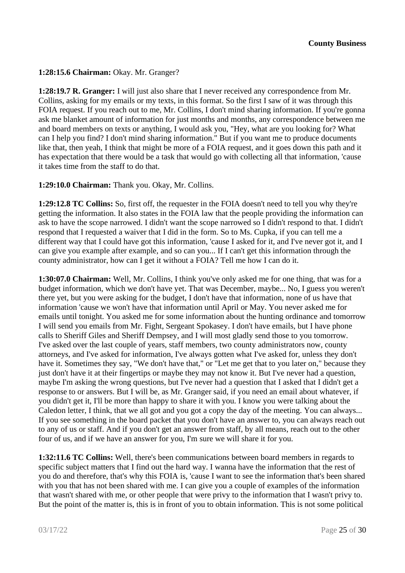**1:28:15.6 Chairman:** Okay. Mr. Granger?

**1:28:19.7 R. Granger:** I will just also share that I never received any correspondence from Mr. Collins, asking for my emails or my texts, in this format. So the first I saw of it was through this FOIA request. If you reach out to me, Mr. Collins, I don't mind sharing information. If you're gonna ask me blanket amount of information for just months and months, any correspondence between me and board members on texts or anything, I would ask you, "Hey, what are you looking for? What can I help you find? I don't mind sharing information." But if you want me to produce documents like that, then yeah, I think that might be more of a FOIA request, and it goes down this path and it has expectation that there would be a task that would go with collecting all that information, 'cause it takes time from the staff to do that.

**1:29:10.0 Chairman:** Thank you. Okay, Mr. Collins.

**1:29:12.8 TC Collins:** So, first off, the requester in the FOIA doesn't need to tell you why they're getting the information. It also states in the FOIA law that the people providing the information can ask to have the scope narrowed. I didn't want the scope narrowed so I didn't respond to that. I didn't respond that I requested a waiver that I did in the form. So to Ms. Cupka, if you can tell me a different way that I could have got this information, 'cause I asked for it, and I've never got it, and I can give you example after example, and so can you... If I can't get this information through the county administrator, how can I get it without a FOIA? Tell me how I can do it.

**1:30:07.0 Chairman:** Well, Mr. Collins, I think you've only asked me for one thing, that was for a budget information, which we don't have yet. That was December, maybe... No, I guess you weren't there yet, but you were asking for the budget, I don't have that information, none of us have that information 'cause we won't have that information until April or May. You never asked me for emails until tonight. You asked me for some information about the hunting ordinance and tomorrow I will send you emails from Mr. Fight, Sergeant Spokasey. I don't have emails, but I have phone calls to Sheriff Giles and Sheriff Dempsey, and I will most gladly send those to you tomorrow. I've asked over the last couple of years, staff members, two county administrators now, county attorneys, and I've asked for information, I've always gotten what I've asked for, unless they don't have it. Sometimes they say, "We don't have that," or "Let me get that to you later on," because they just don't have it at their fingertips or maybe they may not know it. But I've never had a question, maybe I'm asking the wrong questions, but I've never had a question that I asked that I didn't get a response to or answers. But I will be, as Mr. Granger said, if you need an email about whatever, if you didn't get it, I'll be more than happy to share it with you. I know you were talking about the Caledon letter, I think, that we all got and you got a copy the day of the meeting. You can always... If you see something in the board packet that you don't have an answer to, you can always reach out to any of us or staff. And if you don't get an answer from staff, by all means, reach out to the other four of us, and if we have an answer for you, I'm sure we will share it for you.

**1:32:11.6 TC Collins:** Well, there's been communications between board members in regards to specific subject matters that I find out the hard way. I wanna have the information that the rest of you do and therefore, that's why this FOIA is, 'cause I want to see the information that's been shared with you that has not been shared with me. I can give you a couple of examples of the information that wasn't shared with me, or other people that were privy to the information that I wasn't privy to. But the point of the matter is, this is in front of you to obtain information. This is not some political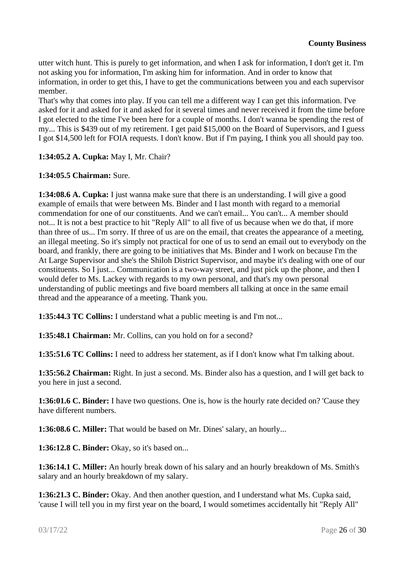utter witch hunt. This is purely to get information, and when I ask for information, I don't get it. I'm not asking you for information, I'm asking him for information. And in order to know that information, in order to get this, I have to get the communications between you and each supervisor member.

That's why that comes into play. If you can tell me a different way I can get this information. I've asked for it and asked for it and asked for it several times and never received it from the time before I got elected to the time I've been here for a couple of months. I don't wanna be spending the rest of my... This is \$439 out of my retirement. I get paid \$15,000 on the Board of Supervisors, and I guess I got \$14,500 left for FOIA requests. I don't know. But if I'm paying, I think you all should pay too.

## **1:34:05.2 A. Cupka:** May I, Mr. Chair?

### **1:34:05.5 Chairman:** Sure.

**1:34:08.6 A. Cupka:** I just wanna make sure that there is an understanding. I will give a good example of emails that were between Ms. Binder and I last month with regard to a memorial commendation for one of our constituents. And we can't email... You can't... A member should not... It is not a best practice to hit "Reply All" to all five of us because when we do that, if more than three of us... I'm sorry. If three of us are on the email, that creates the appearance of a meeting, an illegal meeting. So it's simply not practical for one of us to send an email out to everybody on the board, and frankly, there are going to be initiatives that Ms. Binder and I work on because I'm the At Large Supervisor and she's the Shiloh District Supervisor, and maybe it's dealing with one of our constituents. So I just... Communication is a two-way street, and just pick up the phone, and then I would defer to Ms. Lackey with regards to my own personal, and that's my own personal understanding of public meetings and five board members all talking at once in the same email thread and the appearance of a meeting. Thank you.

**1:35:44.3 TC Collins:** I understand what a public meeting is and I'm not...

**1:35:48.1 Chairman:** Mr. Collins, can you hold on for a second?

**1:35:51.6 TC Collins:** I need to address her statement, as if I don't know what I'm talking about.

**1:35:56.2 Chairman:** Right. In just a second. Ms. Binder also has a question, and I will get back to you here in just a second.

**1:36:01.6 C. Binder:** I have two questions. One is, how is the hourly rate decided on? 'Cause they have different numbers.

**1:36:08.6 C. Miller:** That would be based on Mr. Dines' salary, an hourly...

**1:36:12.8 C. Binder:** Okay, so it's based on...

**1:36:14.1 C. Miller:** An hourly break down of his salary and an hourly breakdown of Ms. Smith's salary and an hourly breakdown of my salary.

**1:36:21.3 C. Binder:** Okay. And then another question, and I understand what Ms. Cupka said, 'cause I will tell you in my first year on the board, I would sometimes accidentally hit "Reply All"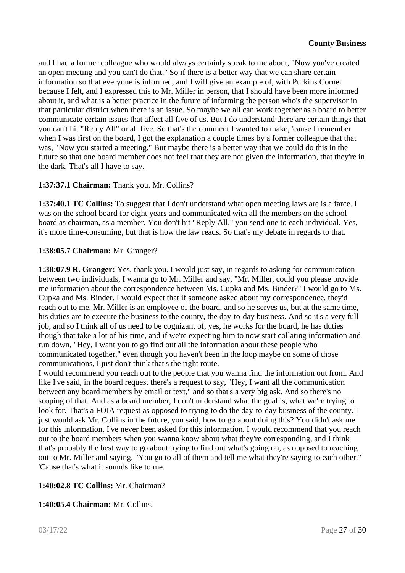and I had a former colleague who would always certainly speak to me about, "Now you've created an open meeting and you can't do that." So if there is a better way that we can share certain information so that everyone is informed, and I will give an example of, with Purkins Corner because I felt, and I expressed this to Mr. Miller in person, that I should have been more informed about it, and what is a better practice in the future of informing the person who's the supervisor in that particular district when there is an issue. So maybe we all can work together as a board to better communicate certain issues that affect all five of us. But I do understand there are certain things that you can't hit "Reply All" or all five. So that's the comment I wanted to make, 'cause I remember when I was first on the board, I got the explanation a couple times by a former colleague that that was, "Now you started a meeting." But maybe there is a better way that we could do this in the future so that one board member does not feel that they are not given the information, that they're in the dark. That's all I have to say.

## **1:37:37.1 Chairman:** Thank you. Mr. Collins?

**1:37:40.1 TC Collins:** To suggest that I don't understand what open meeting laws are is a farce. I was on the school board for eight years and communicated with all the members on the school board as chairman, as a member. You don't hit "Reply All," you send one to each individual. Yes, it's more time-consuming, but that is how the law reads. So that's my debate in regards to that.

### **1:38:05.7 Chairman:** Mr. Granger?

**1:38:07.9 R. Granger:** Yes, thank you. I would just say, in regards to asking for communication between two individuals, I wanna go to Mr. Miller and say, "Mr. Miller, could you please provide me information about the correspondence between Ms. Cupka and Ms. Binder?" I would go to Ms. Cupka and Ms. Binder. I would expect that if someone asked about my correspondence, they'd reach out to me. Mr. Miller is an employee of the board, and so he serves us, but at the same time, his duties are to execute the business to the county, the day-to-day business. And so it's a very full job, and so I think all of us need to be cognizant of, yes, he works for the board, he has duties though that take a lot of his time, and if we're expecting him to now start collating information and run down, "Hey, I want you to go find out all the information about these people who communicated together," even though you haven't been in the loop maybe on some of those communications, I just don't think that's the right route.

I would recommend you reach out to the people that you wanna find the information out from. And like I've said, in the board request there's a request to say, "Hey, I want all the communication between any board members by email or text," and so that's a very big ask. And so there's no scoping of that. And as a board member, I don't understand what the goal is, what we're trying to look for. That's a FOIA request as opposed to trying to do the day-to-day business of the county. I just would ask Mr. Collins in the future, you said, how to go about doing this? You didn't ask me for this information. I've never been asked for this information. I would recommend that you reach out to the board members when you wanna know about what they're corresponding, and I think that's probably the best way to go about trying to find out what's going on, as opposed to reaching out to Mr. Miller and saying, "You go to all of them and tell me what they're saying to each other." 'Cause that's what it sounds like to me.

## **1:40:02.8 TC Collins:** Mr. Chairman?

#### **1:40:05.4 Chairman:** Mr. Collins.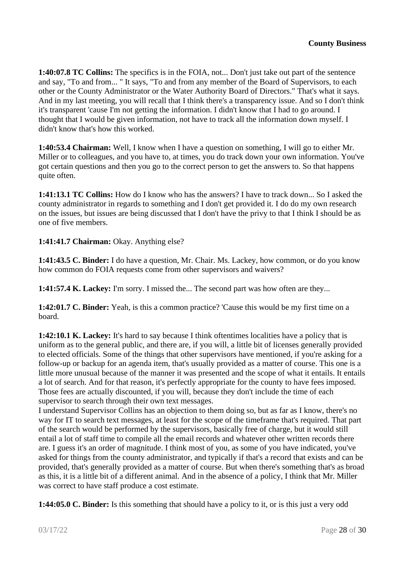**1:40:07.8 TC Collins:** The specifics is in the FOIA, not... Don't just take out part of the sentence and say, "To and from... " It says, "To and from any member of the Board of Supervisors, to each other or the County Administrator or the Water Authority Board of Directors." That's what it says. And in my last meeting, you will recall that I think there's a transparency issue. And so I don't think it's transparent 'cause I'm not getting the information. I didn't know that I had to go around. I thought that I would be given information, not have to track all the information down myself. I didn't know that's how this worked.

**1:40:53.4 Chairman:** Well, I know when I have a question on something, I will go to either Mr. Miller or to colleagues, and you have to, at times, you do track down your own information. You've got certain questions and then you go to the correct person to get the answers to. So that happens quite often.

**1:41:13.1 TC Collins:** How do I know who has the answers? I have to track down... So I asked the county administrator in regards to something and I don't get provided it. I do do my own research on the issues, but issues are being discussed that I don't have the privy to that I think I should be as one of five members.

**1:41:41.7 Chairman:** Okay. Anything else?

**1:41:43.5 C. Binder:** I do have a question, Mr. Chair. Ms. Lackey, how common, or do you know how common do FOIA requests come from other supervisors and waivers?

**1:41:57.4 K. Lackey:** I'm sorry. I missed the... The second part was how often are they...

**1:42:01.7 C. Binder:** Yeah, is this a common practice? 'Cause this would be my first time on a board.

**1:42:10.1 K. Lackey:** It's hard to say because I think oftentimes localities have a policy that is uniform as to the general public, and there are, if you will, a little bit of licenses generally provided to elected officials. Some of the things that other supervisors have mentioned, if you're asking for a follow-up or backup for an agenda item, that's usually provided as a matter of course. This one is a little more unusual because of the manner it was presented and the scope of what it entails. It entails a lot of search. And for that reason, it's perfectly appropriate for the county to have fees imposed. Those fees are actually discounted, if you will, because they don't include the time of each supervisor to search through their own text messages.

I understand Supervisor Collins has an objection to them doing so, but as far as I know, there's no way for IT to search text messages, at least for the scope of the timeframe that's required. That part of the search would be performed by the supervisors, basically free of charge, but it would still entail a lot of staff time to compile all the email records and whatever other written records there are. I guess it's an order of magnitude. I think most of you, as some of you have indicated, you've asked for things from the county administrator, and typically if that's a record that exists and can be provided, that's generally provided as a matter of course. But when there's something that's as broad as this, it is a little bit of a different animal. And in the absence of a policy, I think that Mr. Miller was correct to have staff produce a cost estimate.

**1:44:05.0 C. Binder:** Is this something that should have a policy to it, or is this just a very odd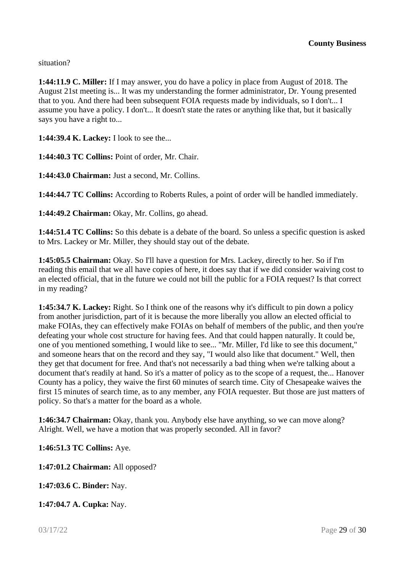situation?

**1:44:11.9 C. Miller:** If I may answer, you do have a policy in place from August of 2018. The August 21st meeting is... It was my understanding the former administrator, Dr. Young presented that to you. And there had been subsequent FOIA requests made by individuals, so I don't... I assume you have a policy. I don't... It doesn't state the rates or anything like that, but it basically says you have a right to...

**1:44:39.4 K. Lackey:** I look to see the...

**1:44:40.3 TC Collins:** Point of order, Mr. Chair.

**1:44:43.0 Chairman:** Just a second, Mr. Collins.

**1:44:44.7 TC Collins:** According to Roberts Rules, a point of order will be handled immediately.

**1:44:49.2 Chairman:** Okay, Mr. Collins, go ahead.

**1:44:51.4 TC Collins:** So this debate is a debate of the board. So unless a specific question is asked to Mrs. Lackey or Mr. Miller, they should stay out of the debate.

**1:45:05.5 Chairman:** Okay. So I'll have a question for Mrs. Lackey, directly to her. So if I'm reading this email that we all have copies of here, it does say that if we did consider waiving cost to an elected official, that in the future we could not bill the public for a FOIA request? Is that correct in my reading?

**1:45:34.7 K. Lackey:** Right. So I think one of the reasons why it's difficult to pin down a policy from another jurisdiction, part of it is because the more liberally you allow an elected official to make FOIAs, they can effectively make FOIAs on behalf of members of the public, and then you're defeating your whole cost structure for having fees. And that could happen naturally. It could be, one of you mentioned something, I would like to see... "Mr. Miller, I'd like to see this document," and someone hears that on the record and they say, "I would also like that document." Well, then they get that document for free. And that's not necessarily a bad thing when we're talking about a document that's readily at hand. So it's a matter of policy as to the scope of a request, the... Hanover County has a policy, they waive the first 60 minutes of search time. City of Chesapeake waives the first 15 minutes of search time, as to any member, any FOIA requester. But those are just matters of policy. So that's a matter for the board as a whole.

**1:46:34.7 Chairman:** Okay, thank you. Anybody else have anything, so we can move along? Alright. Well, we have a motion that was properly seconded. All in favor?

**1:46:51.3 TC Collins:** Aye.

**1:47:01.2 Chairman:** All opposed?

**1:47:03.6 C. Binder:** Nay.

**1:47:04.7 A. Cupka:** Nay.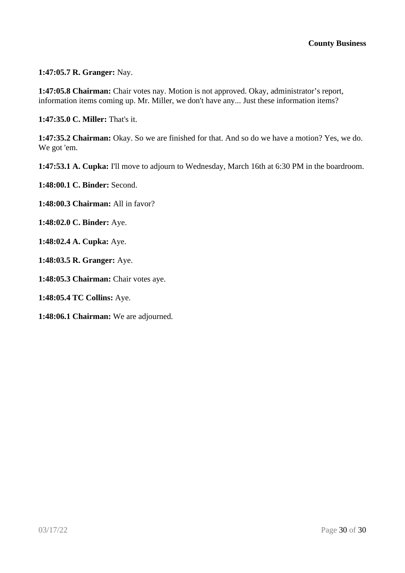**1:47:05.7 R. Granger:** Nay.

**1:47:05.8 Chairman:** Chair votes nay. Motion is not approved. Okay, administrator's report, information items coming up. Mr. Miller, we don't have any... Just these information items?

**1:47:35.0 C. Miller:** That's it.

**1:47:35.2 Chairman:** Okay. So we are finished for that. And so do we have a motion? Yes, we do. We got 'em.

**1:47:53.1 A. Cupka:** I'll move to adjourn to Wednesday, March 16th at 6:30 PM in the boardroom.

**1:48:00.1 C. Binder:** Second.

**1:48:00.3 Chairman:** All in favor?

**1:48:02.0 C. Binder:** Aye.

**1:48:02.4 A. Cupka:** Aye.

**1:48:03.5 R. Granger:** Aye.

**1:48:05.3 Chairman:** Chair votes aye.

**1:48:05.4 TC Collins:** Aye.

**1:48:06.1 Chairman:** We are adjourned.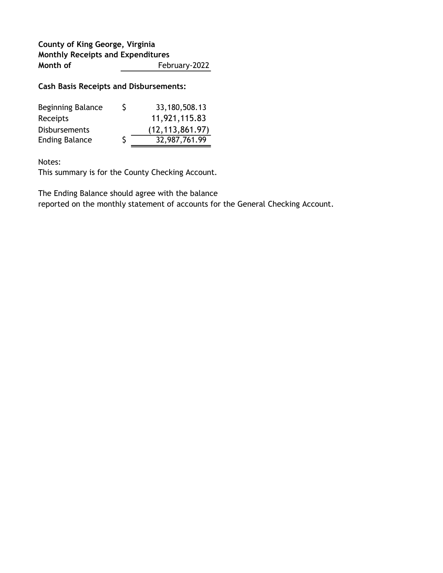## County of King George, Virginia Monthly Receipts and Expenditures Month of February-2022

### Cash Basis Receipts and Disbursements:

| <b>Beginning Balance</b> | S | 33,180,508.13     |
|--------------------------|---|-------------------|
| Receipts                 |   | 11,921,115.83     |
| <b>Disbursements</b>     |   | (12, 113, 861.97) |
| <b>Ending Balance</b>    |   | 32,987,761.99     |

Notes:

This summary is for the County Checking Account.

The Ending Balance should agree with the balance

reported on the monthly statement of accounts for the General Checking Account.